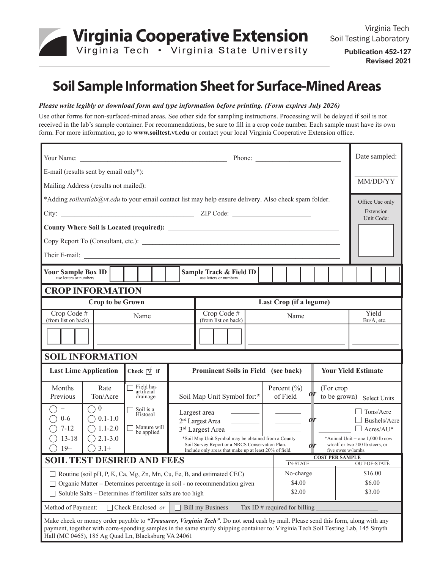

**Publication 452-127 Revised 2021**

# **Soil Sample Information Sheet for Surface-Mined Areas**

#### *Please write legibly or download form and type information before printing. (Form expires July 2026)*

Use other forms for non-surfaced-mined areas. See other side for sampling instructions. Processing will be delayed if soil is not received in the lab's sample container. For recommendations, be sure to fill in a crop code number. Each sample must have its own form. For more information, go to **www.soiltest.vt.edu** or contact your local Virginia Cooperative Extension office.

|                                                                                                                                                                                                                                                                                                                              |                                                                  |                                     |                                                                                                                                                                                                                                                                                   |  |           |                                                                      | Date sampled:              |                              |                                                      |  |  |
|------------------------------------------------------------------------------------------------------------------------------------------------------------------------------------------------------------------------------------------------------------------------------------------------------------------------------|------------------------------------------------------------------|-------------------------------------|-----------------------------------------------------------------------------------------------------------------------------------------------------------------------------------------------------------------------------------------------------------------------------------|--|-----------|----------------------------------------------------------------------|----------------------------|------------------------------|------------------------------------------------------|--|--|
|                                                                                                                                                                                                                                                                                                                              |                                                                  |                                     |                                                                                                                                                                                                                                                                                   |  |           |                                                                      |                            |                              |                                                      |  |  |
|                                                                                                                                                                                                                                                                                                                              |                                                                  |                                     |                                                                                                                                                                                                                                                                                   |  |           |                                                                      | MM/DD/YY                   |                              |                                                      |  |  |
| *Adding soiltestlab@yt.edu to your email contact list may help ensure delivery. Also check spam folder.                                                                                                                                                                                                                      |                                                                  |                                     |                                                                                                                                                                                                                                                                                   |  |           |                                                                      |                            | Office Use only<br>Extension |                                                      |  |  |
|                                                                                                                                                                                                                                                                                                                              |                                                                  |                                     |                                                                                                                                                                                                                                                                                   |  |           |                                                                      |                            |                              | Unit Code:                                           |  |  |
|                                                                                                                                                                                                                                                                                                                              |                                                                  |                                     |                                                                                                                                                                                                                                                                                   |  |           |                                                                      |                            |                              |                                                      |  |  |
|                                                                                                                                                                                                                                                                                                                              |                                                                  |                                     |                                                                                                                                                                                                                                                                                   |  |           |                                                                      |                            |                              |                                                      |  |  |
|                                                                                                                                                                                                                                                                                                                              |                                                                  |                                     |                                                                                                                                                                                                                                                                                   |  |           |                                                                      |                            |                              |                                                      |  |  |
| Your Sample Box ID<br>use letters or numbers                                                                                                                                                                                                                                                                                 |                                                                  |                                     | Sample Track & Field ID<br>use letters or numbers                                                                                                                                                                                                                                 |  |           |                                                                      |                            |                              |                                                      |  |  |
| <b>CROP INFORMATION</b>                                                                                                                                                                                                                                                                                                      |                                                                  |                                     |                                                                                                                                                                                                                                                                                   |  |           |                                                                      |                            |                              |                                                      |  |  |
| <b>Crop to be Grown</b>                                                                                                                                                                                                                                                                                                      |                                                                  |                                     | Last Crop (if a legume)                                                                                                                                                                                                                                                           |  |           |                                                                      |                            |                              |                                                      |  |  |
| Crop Code $#$<br>Name<br>(from list on back)                                                                                                                                                                                                                                                                                 |                                                                  |                                     | Crop Code $#$<br>Name<br>(from list on back)                                                                                                                                                                                                                                      |  |           |                                                                      |                            |                              | Yield<br>Bu/A, etc.                                  |  |  |
|                                                                                                                                                                                                                                                                                                                              |                                                                  |                                     |                                                                                                                                                                                                                                                                                   |  |           |                                                                      |                            |                              |                                                      |  |  |
|                                                                                                                                                                                                                                                                                                                              |                                                                  |                                     |                                                                                                                                                                                                                                                                                   |  |           |                                                                      |                            |                              |                                                      |  |  |
| <b>SOIL INFORMATION</b>                                                                                                                                                                                                                                                                                                      |                                                                  |                                     |                                                                                                                                                                                                                                                                                   |  |           |                                                                      |                            |                              |                                                      |  |  |
| Check $ \nabla $ if<br><b>Last Lime Application</b>                                                                                                                                                                                                                                                                          |                                                                  | Prominent Soils in Field (see back) |                                                                                                                                                                                                                                                                                   |  |           |                                                                      | <b>Your Yield Estimate</b> |                              |                                                      |  |  |
| Months<br>Rate<br>Ton/Acre<br>Previous                                                                                                                                                                                                                                                                                       | Field has<br>artificial<br>drainage                              |                                     | Percent $(\% )$<br>Soil Map Unit Symbol for:*<br>of Field                                                                                                                                                                                                                         |  |           |                                                                      | (For crop)                 |                              | to be grown) Select Units                            |  |  |
| $\bigcirc$ 0<br>$\qquad \qquad -$<br>$\bigcirc$ 0.1-1.0<br>$0 - 6$<br>$\bigcirc$ 1.1-2.0<br>$7 - 12$                                                                                                                                                                                                                         | $\Box$ Soil is a<br>Histosol<br>$\Box$ Manure will<br>be applied |                                     | Largest area                                                                                                                                                                                                                                                                      |  |           | $\overline{or}$<br>$\frac{1}{2}$ and $\frac{1}{2}$ and $\frac{1}{2}$ |                            |                              | $\Box$ Tons/Acre<br>Bushels/Acre<br>$\Box$ Acres/AU* |  |  |
| $\bigcirc$ 2.1-3.0<br>$13 - 18$<br>$\bigcirc$ 3.1+<br>$19+$                                                                                                                                                                                                                                                                  |                                                                  |                                     | *Soil Map Unit Symbol may be obtained from a County<br>*Animal Unit = one $1,000$ lb cow<br>Soil Survey Report or a NRCS Conservation Plan.<br>w/calf or two 500 lb steers, or<br>$\overline{or}$<br>Include only areas that make up at least 20% of field.<br>five ewes w/lambs. |  |           |                                                                      |                            |                              |                                                      |  |  |
| <b>SOIL TEST DESIRED AND FEES</b>                                                                                                                                                                                                                                                                                            |                                                                  |                                     |                                                                                                                                                                                                                                                                                   |  |           | <b>COST PER SAMPLE</b><br><b>IN-STATE</b>                            |                            |                              | <b>OUT-OF-STATE</b>                                  |  |  |
| Routine (soil pH, P, K, Ca, Mg, Zn, Mn, Cu, Fe, B, and estimated CEC)                                                                                                                                                                                                                                                        |                                                                  |                                     |                                                                                                                                                                                                                                                                                   |  | No-charge |                                                                      |                            |                              | \$16.00                                              |  |  |
| Organic Matter - Determines percentage in soil - no recommendation given                                                                                                                                                                                                                                                     |                                                                  |                                     | \$4.00<br>\$2.00                                                                                                                                                                                                                                                                  |  |           | \$6.00<br>\$3.00                                                     |                            |                              |                                                      |  |  |
| Soluble Salts - Determines if fertilizer salts are too high                                                                                                                                                                                                                                                                  |                                                                  |                                     |                                                                                                                                                                                                                                                                                   |  |           |                                                                      |                            |                              |                                                      |  |  |
| $\Box$ Check Enclosed or<br><b>Bill my Business</b><br>Method of Payment:<br>Tax ID $#$ required for billing                                                                                                                                                                                                                 |                                                                  |                                     |                                                                                                                                                                                                                                                                                   |  |           |                                                                      |                            |                              |                                                      |  |  |
| Make check or money order payable to "Treasurer, Virginia Tech". Do not send cash by mail. Please send this form, along with any<br>payment, together with corre-sponding samples in the same sturdy shipping container to: Virginia Tech Soil Testing Lab, 145 Smyth<br>Hall (MC 0465), 185 Ag Quad Ln, Blacksburg VA 24061 |                                                                  |                                     |                                                                                                                                                                                                                                                                                   |  |           |                                                                      |                            |                              |                                                      |  |  |